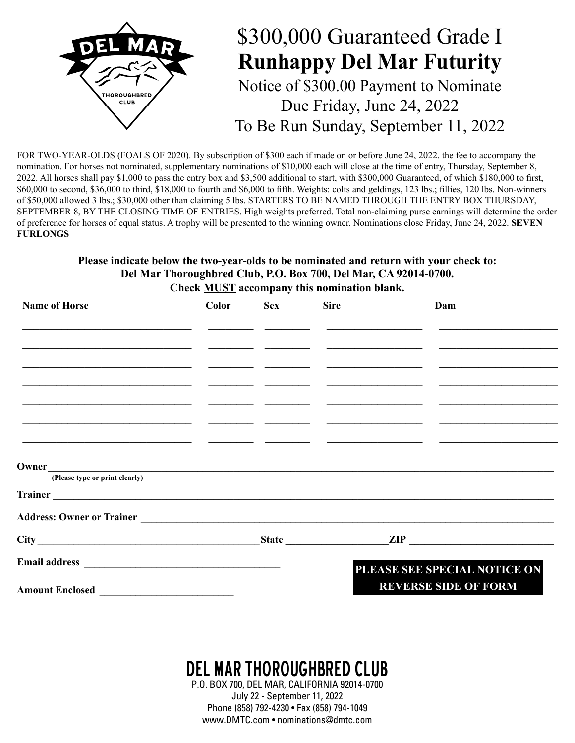

FOR TWO-YEAR-OLDS (FOALS OF 2020). By subscription of \$300 each if made on or before June 24, 2022, the fee to accompany the nomination. For horses not nominated, supplementary nominations of \$10,000 each will close at the time of entry, Thursday, September 8, 2022. All horses shall pay \$1,000 to pass the entry box and \$3,500 additional to start, with \$300,000 Guaranteed, of which \$180,000 to first, \$60,000 to second, \$36,000 to third, \$18,000 to fourth and \$6,000 to fifth. Weights: colts and geldings, 123 lbs.; fillies, 120 lbs. Non-winners of \$50,000 allowed 3 lbs.; \$30,000 other than claiming 5 lbs. STARTERS TO BE NAMED THROUGH THE ENTRY BOX THURSDAY, SEPTEMBER 8, BY THE CLOSING TIME OF ENTRIES. High weights preferred. Total non-claiming purse earnings will determine the order of preference for horses of equal status. A trophy will be presented to the winning owner. Nominations close Friday, June 24, 2022. **SEVEN FURLONGS**

## **Please indicate below the two-year-olds to be nominated and return with your check to: Del Mar Thoroughbred Club, P.O. Box 700, Del Mar, CA 92014-0700. Check MUST accompany this nomination blank.**

| <b>Name of Horse</b><br>the contract of the contract of the contract of the contract of the contract of<br><u> 1989 - Johann Barbara, martxa alemaniar argumento estas políticas en la contradición de la contradición de la</u><br><u> 1980 - Jan Stein Harry Harry Harry Harry Harry Harry Harry Harry Harry Harry Harry Harry Harry Harry Harry</u> | Color | <b>Sex</b> | <b>Sire</b>                                                                                                           | Dam                          |  |  |
|--------------------------------------------------------------------------------------------------------------------------------------------------------------------------------------------------------------------------------------------------------------------------------------------------------------------------------------------------------|-------|------------|-----------------------------------------------------------------------------------------------------------------------|------------------------------|--|--|
|                                                                                                                                                                                                                                                                                                                                                        |       |            | <u> 1980 - Andrea State Barbara, política establecera en la contrada de la contrada de la contrada de la contrada</u> |                              |  |  |
|                                                                                                                                                                                                                                                                                                                                                        |       |            |                                                                                                                       |                              |  |  |
|                                                                                                                                                                                                                                                                                                                                                        |       |            |                                                                                                                       |                              |  |  |
| <u> 1980 - Johann John Stone, markin fizik eta idazlearia (h. 1980).</u><br><u> 1989 - Andrea Andrew Maria (h. 1989).</u><br><u> 1980 - Jan Samuel Barbara, margaret eta politikaria (h. 1905).</u>                                                                                                                                                    |       |            |                                                                                                                       |                              |  |  |
|                                                                                                                                                                                                                                                                                                                                                        |       |            |                                                                                                                       |                              |  |  |
|                                                                                                                                                                                                                                                                                                                                                        |       |            |                                                                                                                       |                              |  |  |
| (Please type or print clearly)                                                                                                                                                                                                                                                                                                                         |       |            |                                                                                                                       |                              |  |  |
| Trainer et al. 2003. The contract of the contract of the contract of the contract of the contract of the contract of the contract of the contract of the contract of the contract of the contract of the contract of the contr                                                                                                                         |       |            |                                                                                                                       |                              |  |  |
|                                                                                                                                                                                                                                                                                                                                                        |       |            |                                                                                                                       |                              |  |  |
|                                                                                                                                                                                                                                                                                                                                                        |       |            |                                                                                                                       |                              |  |  |
|                                                                                                                                                                                                                                                                                                                                                        |       |            |                                                                                                                       | PLEASE SEE SPECIAL NOTICE ON |  |  |
|                                                                                                                                                                                                                                                                                                                                                        |       |            |                                                                                                                       | <b>REVERSE SIDE OF FORM</b>  |  |  |

## DEL MAR THOROUGHBRED CLUB

P.O. BOX 700, DEL MAR, CALIFORNIA 92014-0700 July 22 - September 11, 2022 Phone (858) 792-4230 • Fax (858) 794-1049 www.DMTC.com • nominations@dmtc.com